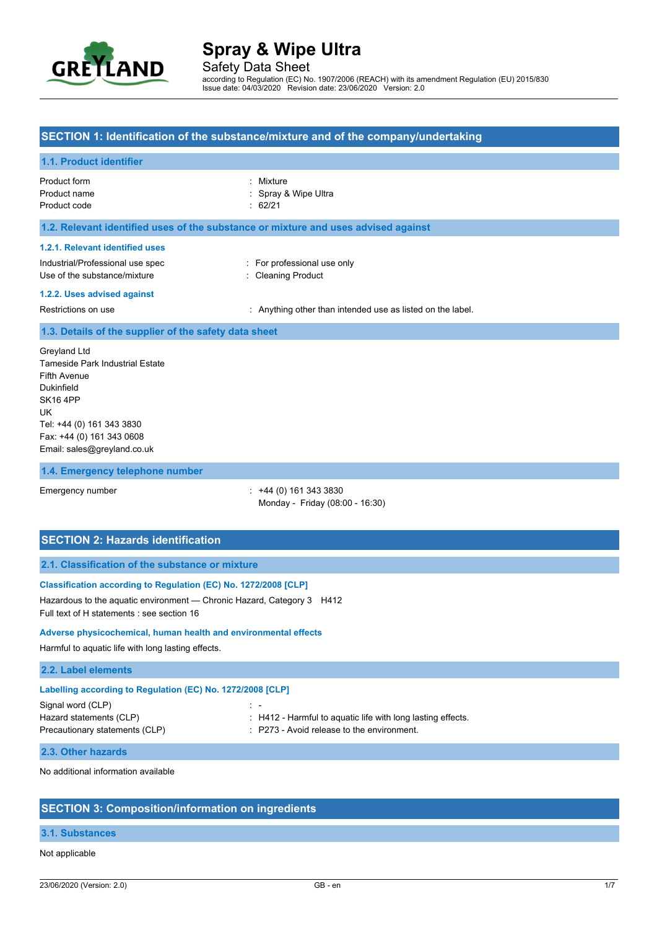

according to Regulation (EC) No. 1907/2006 (REACH) with its amendment Regulation (EU) 2015/830 Issue date: 04/03/2020 Revision date: 23/06/2020 Version: 2.0

## **SECTION 1: Identification of the substance/mixture and of the company/undertaking**

### **1.1. Product identifier**

| Product form | : Mixture            |
|--------------|----------------------|
| Product name | : Spray & Wipe Ultra |
| Product code | $\therefore$ 62/21   |

## **1.2. Relevant identified uses of the substance or mixture and uses advised against**

#### **1.2.1. Relevant identified uses**

| Industrial/Professional use spec |  |
|----------------------------------|--|
| Use of the substance/mixture     |  |

: For professional use only : Cleaning Product

#### **1.2.2. Uses advised against**

Restrictions on use **intended** use in the label. Anything other than intended use as listed on the label.

#### **1.3. Details of the supplier of the safety data sheet**

Greyland Ltd Tameside Park Industrial Estate Fifth Avenue Dukinfield SK16 4PP UK Tel: +44 (0) 161 343 3830 Fax: +44 (0) 161 343 0608 Email: sales@greyland.co.uk

#### **1.4. Emergency telephone number**

Emergency number : +44 (0) 161 343 3830 Monday - Friday (08:00 - 16:30)

## **SECTION 2: Hazards identification**

## **2.1. Classification of the substance or mixture**

#### **Classification according to Regulation (EC) No. 1272/2008 [CLP]**

Hazardous to the aquatic environment — Chronic Hazard, Category 3 H412 Full text of H statements : see section 16

#### **Adverse physicochemical, human health and environmental effects**

Harmful to aquatic life with long lasting effects.

#### **2.2. Label elements**

| Labelling according to Regulation (EC) No. 1272/2008 [CLP] |                                                                 |  |  |  |  |
|------------------------------------------------------------|-----------------------------------------------------------------|--|--|--|--|
| Signal word (CLP)                                          | - 100 -                                                         |  |  |  |  |
| Hazard statements (CLP)                                    | $\pm$ H412 - Harmful to aquatic life with long lasting effects. |  |  |  |  |
| Precautionary statements (CLP)                             | $\therefore$ P273 - Avoid release to the environment.           |  |  |  |  |

#### **2.3. Other hazards**

No additional information available

### **SECTION 3: Composition/information on ingredients**

#### **3.1. Substances**

#### Not applicable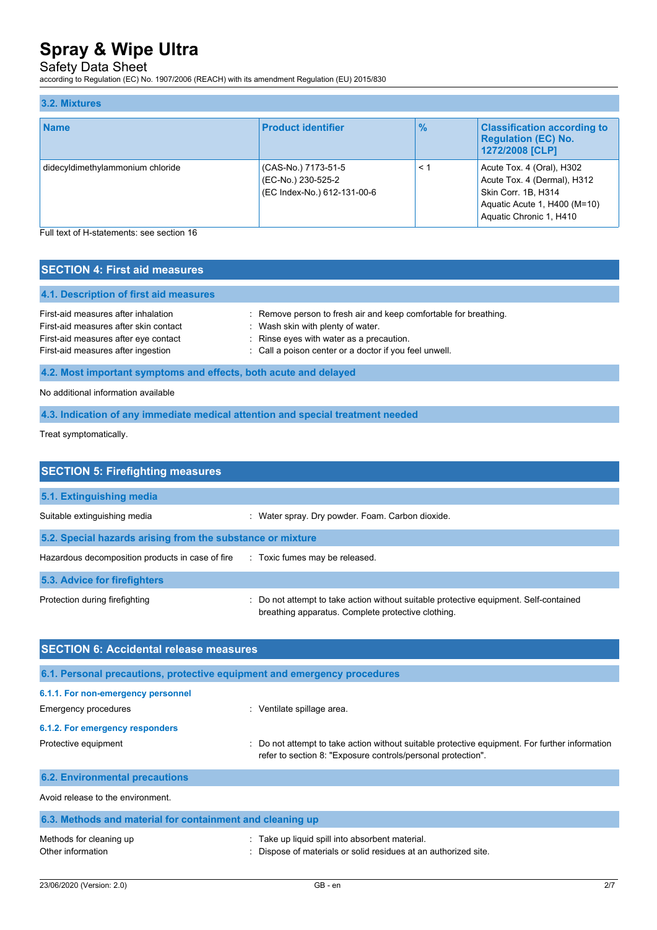## Safety Data Sheet

according to Regulation (EC) No. 1907/2006 (REACH) with its amendment Regulation (EU) 2015/830

| 3.2. Mixtures                    |                                                                          |               |                                                                                                                                            |
|----------------------------------|--------------------------------------------------------------------------|---------------|--------------------------------------------------------------------------------------------------------------------------------------------|
| <b>Name</b>                      | <b>Product identifier</b>                                                | $\frac{9}{6}$ | <b>Classification according to</b><br><b>Regulation (EC) No.</b><br>1272/2008 [CLP]                                                        |
| didecyldimethylammonium chloride | (CAS-No.) 7173-51-5<br>(EC-No.) 230-525-2<br>(EC Index-No.) 612-131-00-6 | $\leq$ 1      | Acute Tox. 4 (Oral), H302<br>Acute Tox. 4 (Dermal), H312<br>Skin Corr. 1B, H314<br>Aquatic Acute 1, H400 (M=10)<br>Aquatic Chronic 1, H410 |

Full text of H-statements: see section 16

| <b>SECTION 4: First aid measures</b>                                                                                                                       |                                                                                                                                                                                                             |
|------------------------------------------------------------------------------------------------------------------------------------------------------------|-------------------------------------------------------------------------------------------------------------------------------------------------------------------------------------------------------------|
| 4.1. Description of first aid measures                                                                                                                     |                                                                                                                                                                                                             |
| First-aid measures after inhalation<br>First-aid measures after skin contact<br>First-aid measures after eye contact<br>First-aid measures after ingestion | : Remove person to fresh air and keep comfortable for breathing.<br>: Wash skin with plenty of water.<br>: Rinse eyes with water as a precaution.<br>: Call a poison center or a doctor if you feel unwell. |
| 4.2. Most important symptoms and effects, both acute and delayed                                                                                           |                                                                                                                                                                                                             |
| No additional information available                                                                                                                        |                                                                                                                                                                                                             |

**4.3. Indication of any immediate medical attention and special treatment needed**

Treat symptomatically.

| <b>SECTION 5: Firefighting measures</b>                    |                                                                                                                                             |
|------------------------------------------------------------|---------------------------------------------------------------------------------------------------------------------------------------------|
| 5.1. Extinguishing media                                   |                                                                                                                                             |
| Suitable extinguishing media                               | : Water spray. Dry powder. Foam. Carbon dioxide.                                                                                            |
| 5.2. Special hazards arising from the substance or mixture |                                                                                                                                             |
| Hazardous decomposition products in case of fire           | : Toxic fumes may be released.                                                                                                              |
| 5.3. Advice for firefighters                               |                                                                                                                                             |
| Protection during firefighting                             | : Do not attempt to take action without suitable protective equipment. Self-contained<br>breathing apparatus. Complete protective clothing. |

| <b>SECTION 6: Accidental release measures</b>                            |                                                                                                                                                                |  |  |  |
|--------------------------------------------------------------------------|----------------------------------------------------------------------------------------------------------------------------------------------------------------|--|--|--|
| 6.1. Personal precautions, protective equipment and emergency procedures |                                                                                                                                                                |  |  |  |
| 6.1.1. For non-emergency personnel<br>Emergency procedures               | : Ventilate spillage area.                                                                                                                                     |  |  |  |
| 6.1.2. For emergency responders<br>Protective equipment                  | : Do not attempt to take action without suitable protective equipment. For further information<br>refer to section 8: "Exposure controls/personal protection". |  |  |  |
| <b>6.2. Environmental precautions</b>                                    |                                                                                                                                                                |  |  |  |
| Avoid release to the environment.                                        |                                                                                                                                                                |  |  |  |
| 6.3. Methods and material for containment and cleaning up                |                                                                                                                                                                |  |  |  |
| Methods for cleaning up                                                  | Take up liquid spill into absorbent material.                                                                                                                  |  |  |  |

| Methods for cleaning up | Take up liquid spill into absorbent material.                 |
|-------------------------|---------------------------------------------------------------|
| Other information       | Dispose of materials or solid residues at an authorized site. |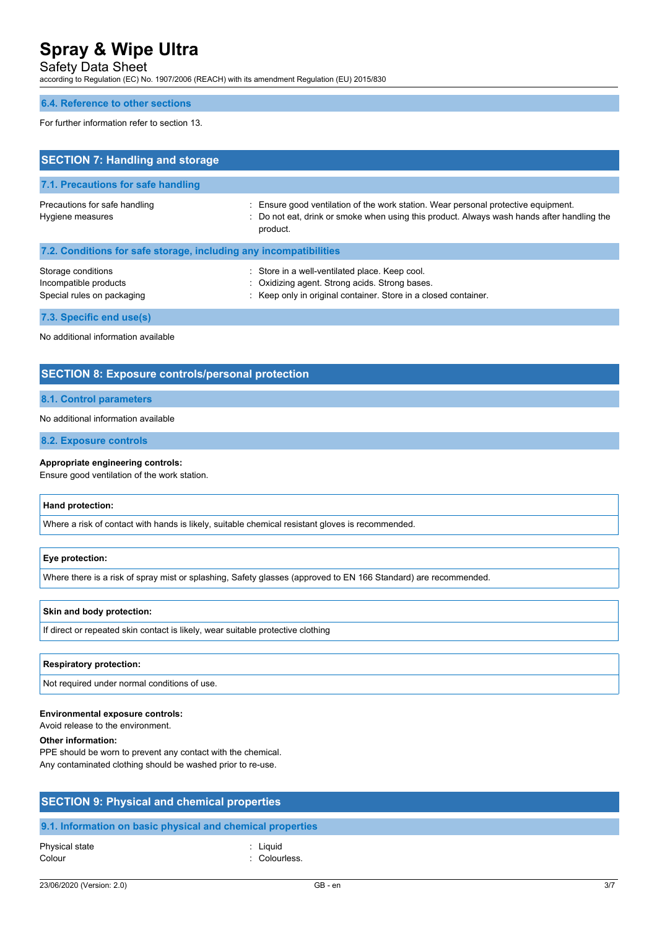Safety Data Sheet

according to Regulation (EC) No. 1907/2006 (REACH) with its amendment Regulation (EU) 2015/830

### **6.4. Reference to other sections**

For further information refer to section 13.

| <b>SECTION 7: Handling and storage</b>                                    |                                                                                                                                                                                              |  |  |  |
|---------------------------------------------------------------------------|----------------------------------------------------------------------------------------------------------------------------------------------------------------------------------------------|--|--|--|
| 7.1. Precautions for safe handling                                        |                                                                                                                                                                                              |  |  |  |
| Precautions for safe handling<br>Hygiene measures                         | : Ensure good ventilation of the work station. Wear personal protective equipment.<br>: Do not eat, drink or smoke when using this product. Always wash hands after handling the<br>product. |  |  |  |
| 7.2. Conditions for safe storage, including any incompatibilities         |                                                                                                                                                                                              |  |  |  |
| Storage conditions<br>Incompatible products<br>Special rules on packaging | : Store in a well-ventilated place. Keep cool.<br>: Oxidizing agent. Strong acids. Strong bases.<br>: Keep only in original container. Store in a closed container.                          |  |  |  |
| 7.3. Specific end use(s)                                                  |                                                                                                                                                                                              |  |  |  |

No additional information available

## **SECTION 8: Exposure controls/personal protection**

#### **8.1. Control parameters**

#### No additional information available

**8.2. Exposure controls**

#### **Appropriate engineering controls:**

Ensure good ventilation of the work station.

#### **Hand protection:**

Where a risk of contact with hands is likely, suitable chemical resistant gloves is recommended.

### **Eye protection:**

Where there is a risk of spray mist or splashing, Safety glasses (approved to EN 166 Standard) are recommended.

#### **Skin and body protection:**

If direct or repeated skin contact is likely, wear suitable protective clothing

#### **Respiratory protection:**

Not required under normal conditions of use.

#### **Environmental exposure controls:**

Avoid release to the environment.

#### **Other information:**

PPE should be worn to prevent any contact with the chemical. Any contaminated clothing should be washed prior to re-use.

| <b>SECTION 9: Physical and chemical properties</b> |
|----------------------------------------------------|
|                                                    |
|                                                    |

## **9.1. Information on basic physical and chemical properties**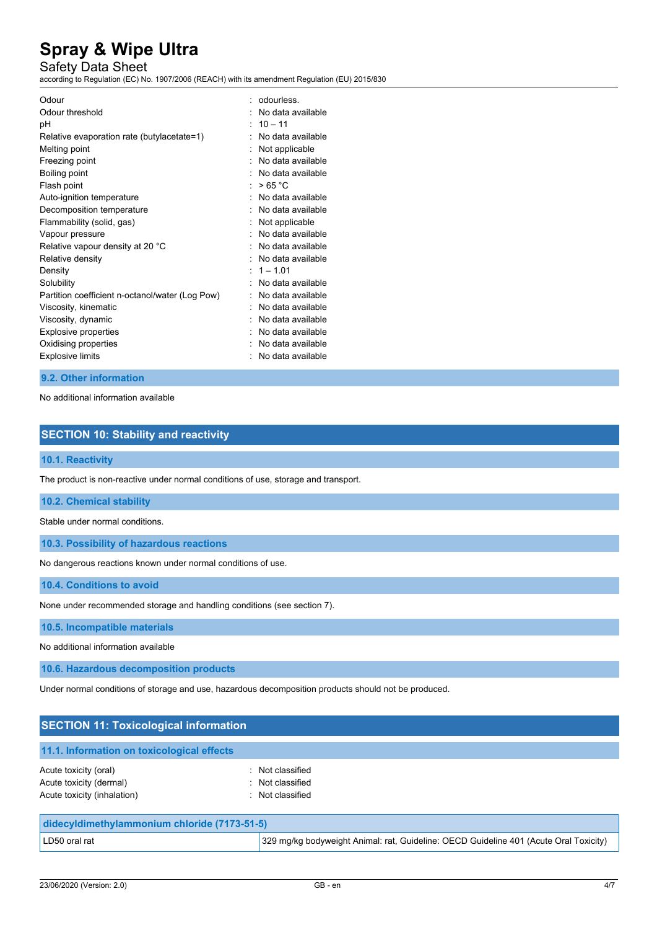## Safety Data Sheet

according to Regulation (EC) No. 1907/2006 (REACH) with its amendment Regulation (EU) 2015/830

| Odour                                           | odourless.        |
|-------------------------------------------------|-------------------|
| Odour threshold                                 | No data available |
| рH                                              | $10 - 11$         |
| Relative evaporation rate (butylacetate=1)      | No data available |
| Melting point                                   | Not applicable    |
| Freezing point                                  | No data available |
| Boiling point                                   | No data available |
| Flash point                                     | >65 °C            |
| Auto-ignition temperature                       | No data available |
| Decomposition temperature                       | No data available |
| Flammability (solid, gas)                       | Not applicable    |
| Vapour pressure                                 | No data available |
| Relative vapour density at 20 °C                | No data available |
| Relative density                                | No data available |
| Density                                         | $1 - 1.01$        |
| Solubility                                      | No data available |
| Partition coefficient n-octanol/water (Log Pow) | No data available |
| Viscosity, kinematic                            | No data available |
| Viscosity, dynamic                              | No data available |
| Explosive properties                            | No data available |
| Oxidising properties                            | No data available |
| <b>Explosive limits</b>                         | No data available |

## **9.2. Other information**

No additional information available

## **SECTION 10: Stability and reactivity**

### **10.1. Reactivity**

The product is non-reactive under normal conditions of use, storage and transport.

## **10.2. Chemical stability**

Stable under normal conditions.

**10.3. Possibility of hazardous reactions**

No dangerous reactions known under normal conditions of use.

**10.4. Conditions to avoid**

None under recommended storage and handling conditions (see section 7).

**10.5. Incompatible materials**

No additional information available

**10.6. Hazardous decomposition products**

Under normal conditions of storage and use, hazardous decomposition products should not be produced.

| <b>SECTION 11: Toxicological information</b>                                    |                                                          |  |  |  |
|---------------------------------------------------------------------------------|----------------------------------------------------------|--|--|--|
| 11.1. Information on toxicological effects                                      |                                                          |  |  |  |
| Acute toxicity (oral)<br>Acute toxicity (dermal)<br>Acute toxicity (inhalation) | : Not classified<br>: Not classified<br>: Not classified |  |  |  |
| didecyldimethylammonium chloride (7173-51-5)                                    |                                                          |  |  |  |

LD50 oral rat **329 mg/kg bodyweight Animal: rat, Guideline: OECD Guideline 401 (Acute Oral Toxicity)** 1329 mg/kg bodyweight Animal: rat, Guideline: OECD Guideline 401 (Acute Oral Toxicity)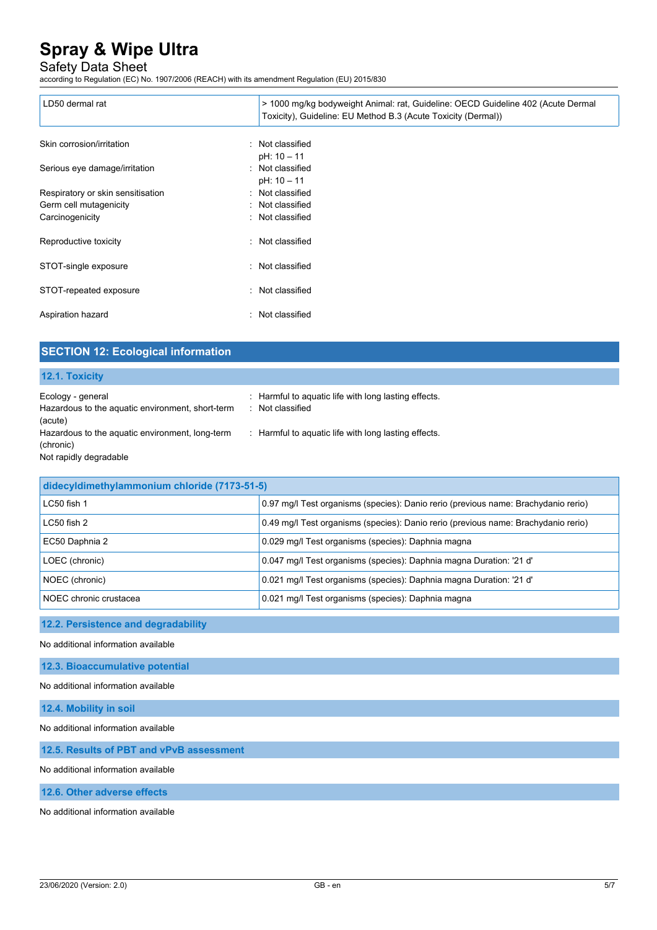## Safety Data Sheet

according to Regulation (EC) No. 1907/2006 (REACH) with its amendment Regulation (EU) 2015/830

| LD50 dermal rat                   | > 1000 mg/kg bodyweight Animal: rat, Guideline: OECD Guideline 402 (Acute Dermal<br>Toxicity), Guideline: EU Method B.3 (Acute Toxicity (Dermal)) |
|-----------------------------------|---------------------------------------------------------------------------------------------------------------------------------------------------|
| Skin corrosion/irritation         | : Not classified<br>pH: 10 - 11                                                                                                                   |
| Serious eye damage/irritation     | : Not classified<br>$pH: 10 - 11$                                                                                                                 |
| Respiratory or skin sensitisation | : Not classified                                                                                                                                  |
| Germ cell mutagenicity            | : Not classified                                                                                                                                  |
| Carcinogenicity                   | : Not classified                                                                                                                                  |
| Reproductive toxicity             | : Not classified                                                                                                                                  |
| STOT-single exposure              | : Not classified                                                                                                                                  |
| STOT-repeated exposure            | : Not classified                                                                                                                                  |
| Aspiration hazard                 | : Not classified                                                                                                                                  |

| <b>SECTION 12: Ecological information</b>                                              |                                                                          |  |
|----------------------------------------------------------------------------------------|--------------------------------------------------------------------------|--|
| 12.1. Toxicity                                                                         |                                                                          |  |
| Ecology - general<br>Hazardous to the aquatic environment, short-term<br>(acute)       | : Harmful to aquatic life with long lasting effects.<br>: Not classified |  |
| Hazardous to the aquatic environment, long-term<br>(chronic)<br>Not rapidly degradable | : Harmful to aquatic life with long lasting effects.                     |  |
| didecyldimethylammonium chloride (7173-51-5)                                           |                                                                          |  |

| <u>WIWOO FIGHTIONI FIGHTING INCHINE ON ON THE CITY OF OF</u> |                                                                                    |  |
|--------------------------------------------------------------|------------------------------------------------------------------------------------|--|
| LC50 fish 1                                                  | 0.97 mg/l Test organisms (species): Danio rerio (previous name: Brachydanio rerio) |  |
| LC50 fish 2                                                  | 0.49 mg/l Test organisms (species): Danio rerio (previous name: Brachydanio rerio) |  |
| EC50 Daphnia 2                                               | 0.029 mg/l Test organisms (species): Daphnia magna                                 |  |
| LOEC (chronic)                                               | 0.047 mg/l Test organisms (species): Daphnia magna Duration: '21 d'                |  |
| NOEC (chronic)                                               | 0.021 mg/l Test organisms (species): Daphnia magna Duration: '21 d'                |  |
| NOEC chronic crustacea                                       | 0.021 mg/l Test organisms (species): Daphnia magna                                 |  |

## **12.2. Persistence and degradability**

No additional information available

**12.3. Bioaccumulative potential**

No additional information available

**12.4. Mobility in soil**

No additional information available

**12.5. Results of PBT and vPvB assessment**

No additional information available

**12.6. Other adverse effects**

No additional information available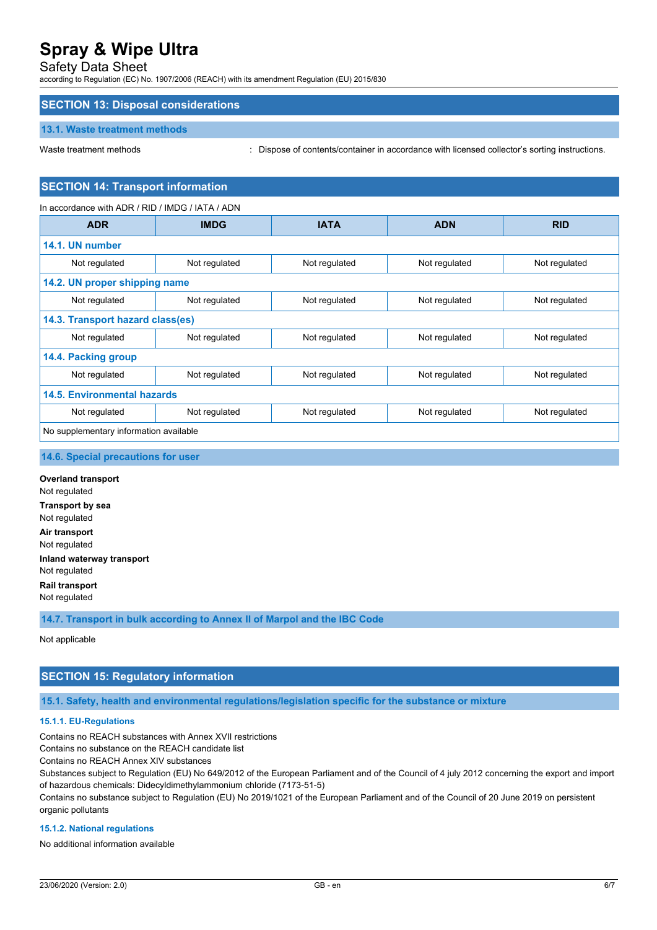## Safety Data Sheet

according to Regulation (EC) No. 1907/2006 (REACH) with its amendment Regulation (EU) 2015/830

## **SECTION 13: Disposal considerations**

#### **13.1. Waste treatment methods**

Waste treatment methods : Dispose of contents/container in accordance with licensed collector's sorting instructions.

## **SECTION 14: Transport information**

In accordance with ADR / RID / IMDG / IATA / ADN

| <b>ADR</b>                             | <b>IMDG</b>   | <b>IATA</b>   | <b>ADN</b>    | <b>RID</b>    |
|----------------------------------------|---------------|---------------|---------------|---------------|
| 14.1. UN number                        |               |               |               |               |
| Not regulated                          | Not regulated | Not regulated | Not regulated | Not regulated |
| 14.2. UN proper shipping name          |               |               |               |               |
| Not regulated                          | Not regulated | Not regulated | Not regulated | Not regulated |
| 14.3. Transport hazard class(es)       |               |               |               |               |
| Not regulated                          | Not regulated | Not regulated | Not regulated | Not regulated |
| 14.4. Packing group                    |               |               |               |               |
| Not regulated                          | Not regulated | Not regulated | Not regulated | Not regulated |
| <b>14.5. Environmental hazards</b>     |               |               |               |               |
| Not regulated                          | Not regulated | Not regulated | Not regulated | Not regulated |
| No supplementary information available |               |               |               |               |

#### **14.6. Special precautions for user**

**Overland transport** Not regulated **Transport by sea** Not regulated **Air transport** Not regulated **Inland waterway transport** Not regulated **Rail transport** Not regulated

**14.7. Transport in bulk according to Annex II of Marpol and the IBC Code**

Not applicable

## **SECTION 15: Regulatory information**

**15.1. Safety, health and environmental regulations/legislation specific for the substance or mixture**

#### **15.1.1. EU-Regulations**

Contains no REACH substances with Annex XVII restrictions

Contains no substance on the REACH candidate list

Contains no REACH Annex XIV substances

Substances subject to Regulation (EU) No 649/2012 of the European Parliament and of the Council of 4 july 2012 concerning the export and import of hazardous chemicals: Didecyldimethylammonium chloride (7173-51-5)

Contains no substance subject to Regulation (EU) No 2019/1021 of the European Parliament and of the Council of 20 June 2019 on persistent organic pollutants

#### **15.1.2. National regulations**

No additional information available